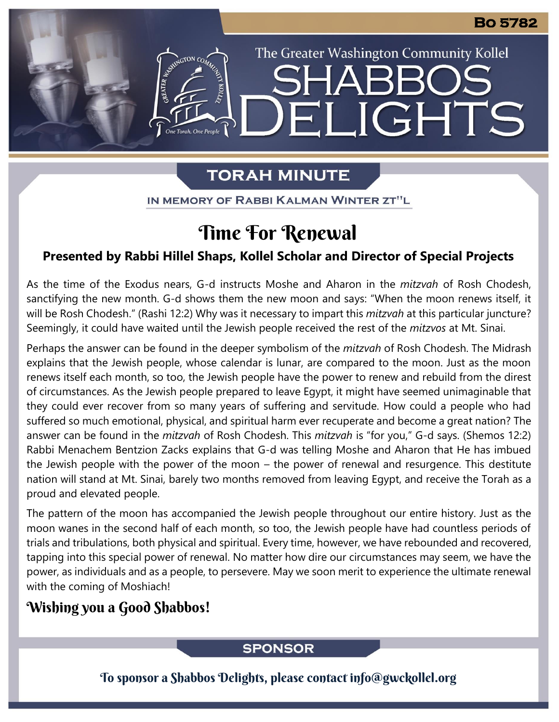# **TORAH MINUTE**

EI

The Greater Washington Community Kollel

LIGHTS

IN MEMORY OF RABBI KALMAN WINTER ZT"L

# Time For Renewal

#### **Presented by Rabbi Hillel Shaps, Kollel Scholar and Director of Special Projects**

As the time of the Exodus nears, G-d instructs Moshe and Aharon in the *mitzvah* of Rosh Chodesh, sanctifying the new month. G-d shows them the new moon and says: "When the moon renews itself, it will be Rosh Chodesh." (Rashi 12:2) Why was it necessary to impart this *mitzvah* at this particular juncture? Seemingly, it could have waited until the Jewish people received the rest of the *mitzvos* at Mt. Sinai.

Perhaps the answer can be found in the deeper symbolism of the *mitzvah* of Rosh Chodesh. The Midrash explains that the Jewish people, whose calendar is lunar, are compared to the moon. Just as the moon renews itself each month, so too, the Jewish people have the power to renew and rebuild from the direst of circumstances. As the Jewish people prepared to leave Egypt, it might have seemed unimaginable that they could ever recover from so many years of suffering and servitude. How could a people who had suffered so much emotional, physical, and spiritual harm ever recuperate and become a great nation? The answer can be found in the *mitzvah* of Rosh Chodesh. This *mitzvah* is "for you," G-d says. (Shemos 12:2) Rabbi Menachem Bentzion Zacks explains that G-d was telling Moshe and Aharon that He has imbued the Jewish people with the power of the moon – the power of renewal and resurgence. This destitute nation will stand at Mt. Sinai, barely two months removed from leaving Egypt, and receive the Torah as a proud and elevated people.

The pattern of the moon has accompanied the Jewish people throughout our entire history. Just as the moon wanes in the second half of each month, so too, the Jewish people have had countless periods of trials and tribulations, both physical and spiritual. Every time, however, we have rebounded and recovered, tapping into this special power of renewal. No matter how dire our circumstances may seem, we have the power, as individuals and as a people, to persevere. May we soon merit to experience the ultimate renewal with the coming of Moshiach!

## Wishing you a Good Shabbos!

#### **SPONSOR**

To sponsor a Shabbos Delights, please contact info@gwckollel.org